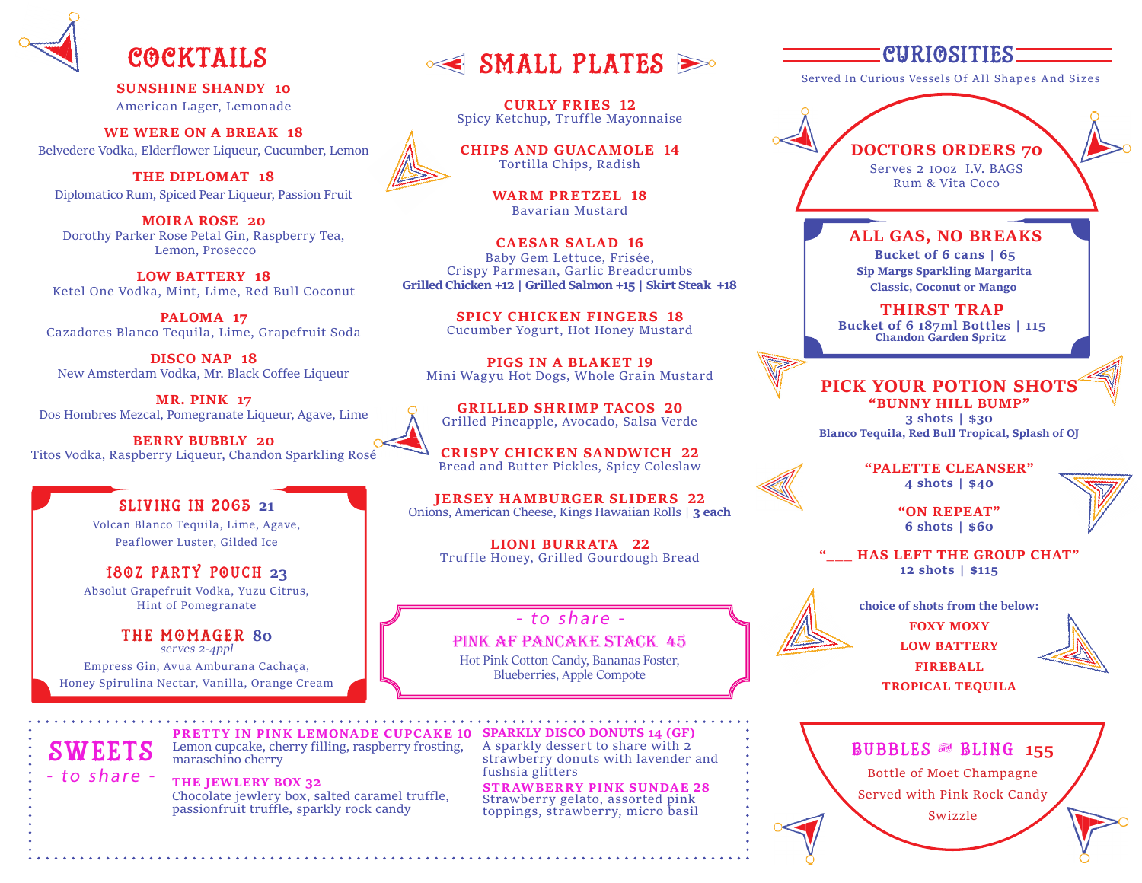

**SUNSHINE SHANDY 10** American Lager, Lemonade

**WE WERE ON A BREAK 18** Belvedere Vodka, Elderflower Liqueur, Cucumber, Lemon

**THE DIPLOMAT 18** Diplomatico Rum, Spiced Pear Liqueur, Passion Fruit

**MOIRA ROSE 20** Dorothy Parker Rose Petal Gin, Raspberry Tea, Lemon, Prosecco

**LOW BATTERY 18** Ketel One Vodka, Mint, Lime, Red Bull Coconut

**PALOMA 17** Cazadores Blanco Tequila, Lime, Grapefruit Soda

**DISCO NAP 18** New Amsterdam Vodka, Mr. Black Coffee Liqueur

**MR. PINK 17** Dos Hombres Mezcal, Pomegranate Liqueur, Agave, Lime

**BERRY BUBBLY 20** Titos Vodka, Raspberry Liqueur, Chandon Sparkling Rosé

#### SLIVING IN 2065 **21**

Volcan Blanco Tequila, Lime, Agave, Peaflower Luster, Gilded Ice

18oz Party Pouch **23** Absolut Grapefruit Vodka, Yuzu Citrus, Hint of Pomegranate

the momager **80** serves 2-4ppl Empress Gin, Avua Amburana Cachaça,

Honey Spirulina Nectar, Vanilla, Orange Cream

COCKTAILS SMALL PLATES

**CURLY FRIES 12** Spicy Ketchup, Truffle Mayonnaise

**CHIPS AND GUACAMOLE 14** Tortilla Chips, Radish

> **WARM PRETZEL 18** Bavarian Mustard

**CAESAR SALAD 16** Baby Gem Lettuce, Frisée, Crispy Parmesan, Garlic Breadcrumbs **Grilled Chicken +12 | Grilled Salmon +15 | Skirt Steak +18**

> **SPICY CHICKEN FINGERS 18** Cucumber Yogurt, Hot Honey Mustard

**PIGS IN A BLAKET 19** Mini Wagyu Hot Dogs, Whole Grain Mustard

**GRILLED SHRIMP TACOS 20** Grilled Pineapple, Avocado, Salsa Verde

**CRISPY CHICKEN SANDWICH 22** Bread and Butter Pickles, Spicy Coleslaw

**JERSEY HAMBURGER SLIDERS 22** Onions, American Cheese, Kings Hawaiian Rolls | **3 each**

**LIONI BURRATA 22** Truffle Honey, Grilled Gourdough Bread

#### - to share -

Pink AF Pancake Stack 45 Hot Pink Cotton Candy, Bananas Foster, Blueberries, Apple Compote

**PRETTY IN PINK LEMONADE CUPCAKE 10 SPARKLY DISCO DONUTS 14 (GF)** A sparkly dessert to share with 2 strawberry donuts with lavender and fushsia glitters

> **STRAWBERRY PINK SUNDAE 28** Strawberry gelato, assorted pink toppings, strawberry, micro basil

## CURIOSITIES

Served In Curious Vessels Of All Shapes And Sizes

**DOCTORS ORDERS 70** Serves 2 10oz I.V. BAGS Rum & Vita Coco

#### **ALL GAS, NO BREAKS**

**Bucket of 6 cans | 65 Sip Margs Sparkling Margarita Classic, Coconut or Mango**

**THIRST TRAP Bucket of 6 187ml Bottles | 115 Chandon Garden Spritz**

#### **PICK YOUR POTION SHOTS**

**"BUNNY HILL BUMP" 3 shots | \$30 Blanco Tequila, Red Bull Tropical, Splash of OJ**

> **"PALETTE CLEANSER" 4 shots | \$40**

> > **"ON REPEAT" 6 shots | \$60**

**HAS LEFT THE GROUP CHAT" 12 shots | \$115**



**choice of shots from the below: FOXY MOXY LOW BATTERY FIREBALL**

**TROPICAL TEQUILA**



Bubbles & Bling**<sup>155</sup>** Bottle of Moet Champagne Served with Pink Rock Candy Swizzle

**SWEETS** - to share - Lemon cupcake, cherry filling, raspberry frosting, maraschino cherry

**THE JEWLERY BOX 32** Chocolate jewlery box, salted caramel truffle, passionfruit truffle, sparkly rock candy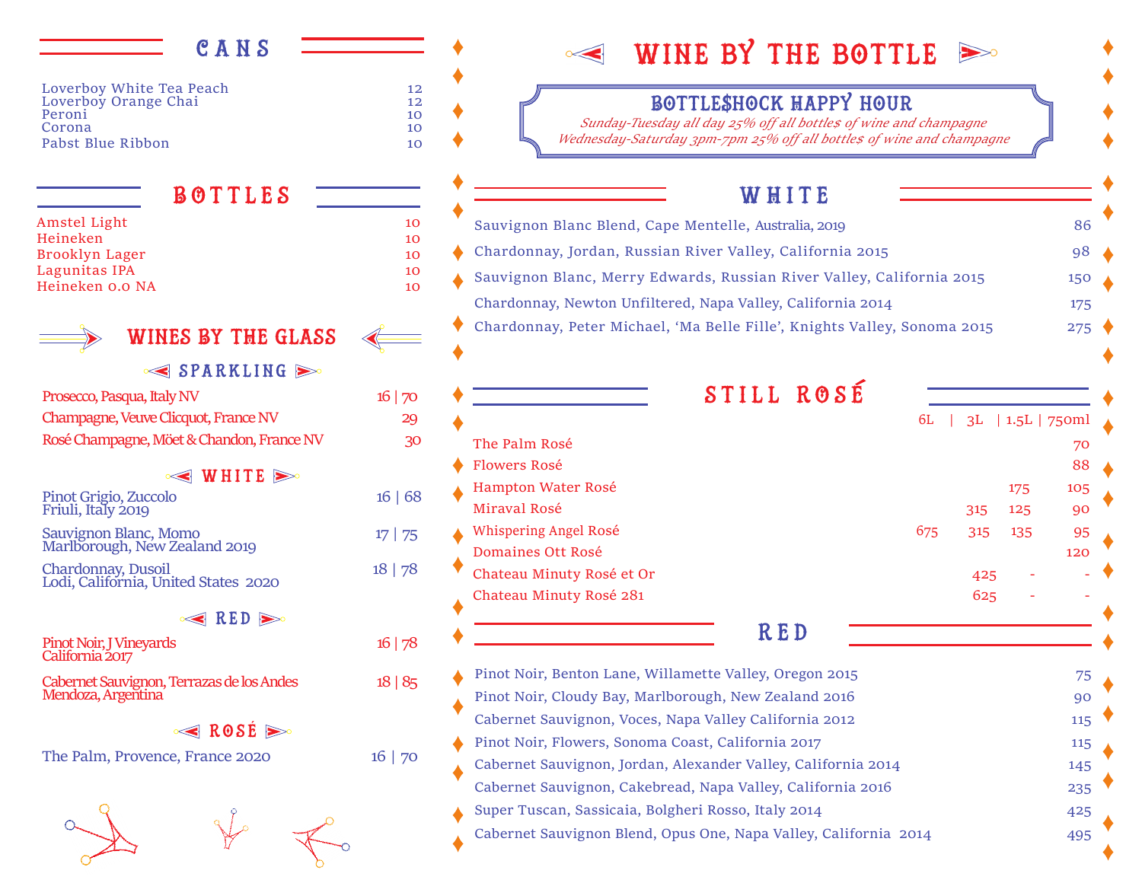## CANS Loverboy White Tea Peach 12<br>
Loverboy Orange Chai Loverboy Orange Chai 12<br>Peroni 10 Peroni 2008 and 2008 and 2008 and 2008 and 2008 and 2008 and 2008 and 2008 and 2008 and 2008 and 2008 and 2008 Corona 10 Pabst Blue Ribbon 10  $\leq$  SPARKLING Prosecco, Pasqua, Italy NV 16 | 70 Champagne, Veuve Clicquot, France NV 29 Rosé Champagne, Möet & Chandon, France NV 30  $\leq$  WHITE  $\geq$ Pinot Grigio, Zuccolo 16 | 68 Friuli, Italy 2019 Sauvignon Blanc, Momo 17 | 75<br>Marlborough, New Zealand 2019 Chardonnay, Dusoil 18 | 78 Lodi, California, United States 2020  $\leq$  RED  $\geq$ Pinot Noir, J Vineyards 16 | 78 California 2017 Cabernet Sauvignon, Terrazas de los Andes 18 | 85 Mendoza, Argentina ROSÉ<sup>E</sup> The Palm, Provence, France 2020 16 | 70 WINES BY THE GLASS Amstel Light 10 Heineken 10 Brooklyn Lager 10 Lagunitas IPA 10 Heineken 0.0 NA 10 BOTTLES

# $\leq$  WINE BY THE BOTTLE  $\geq$

## Bottle\$hock Happy hour

*Sunday-Tuesday all day 25% off all bottle\$ of wine and champagne Wednesday-Saturday 3pm-7pm 25% off all bottle\$ of wine and champagne*

## WHITE

| Sauvignon Blanc Blend, Cape Mentelle, Australia, 2019                    | 86  |
|--------------------------------------------------------------------------|-----|
| Chardonnay, Jordan, Russian River Valley, California 2015                | 98  |
| Sauvignon Blanc, Merry Edwards, Russian River Valley, California 2015    | 150 |
| Chardonnay, Newton Unfiltered, Napa Valley, California 2014              | 175 |
| Chardonnay, Peter Michael, 'Ma Belle Fille', Knights Valley, Sonoma 2015 | 275 |

|                           | 6L  |     | $3L$   1.5L   750ml |     |
|---------------------------|-----|-----|---------------------|-----|
| The Palm Rosé             |     |     |                     | 70  |
| <b>Flowers Rosé</b>       |     |     |                     | 88  |
| Hampton Water Rosé        |     |     | 175                 | 105 |
| Miraval Rosé              |     | 315 | 125                 | 90  |
| Whispering Angel Rosé     | 675 | 315 | 135                 | 95  |
| Domaines Ott Rosé         |     |     |                     | 120 |
| Chateau Minuty Rosé et Or |     | 425 |                     |     |
| Chateau Minuty Rosé 281   |     | 625 |                     |     |

| Pinot Noir, Benton Lane, Willamette Valley, Oregon 2015          | 75  |
|------------------------------------------------------------------|-----|
| Pinot Noir, Cloudy Bay, Marlborough, New Zealand 2016            | 90  |
| Cabernet Sauvignon, Voces, Napa Valley California 2012           | 115 |
| Pinot Noir, Flowers, Sonoma Coast, California 2017               | 115 |
| Cabernet Sauvignon, Jordan, Alexander Valley, California 2014    | 145 |
| Cabernet Sauvignon, Cakebread, Napa Valley, California 2016      | 235 |
| Super Tuscan, Sassicaia, Bolgheri Rosso, Italy 2014              | 425 |
| Cabernet Sauvignon Blend, Opus One, Napa Valley, California 2014 | 495 |
|                                                                  |     |